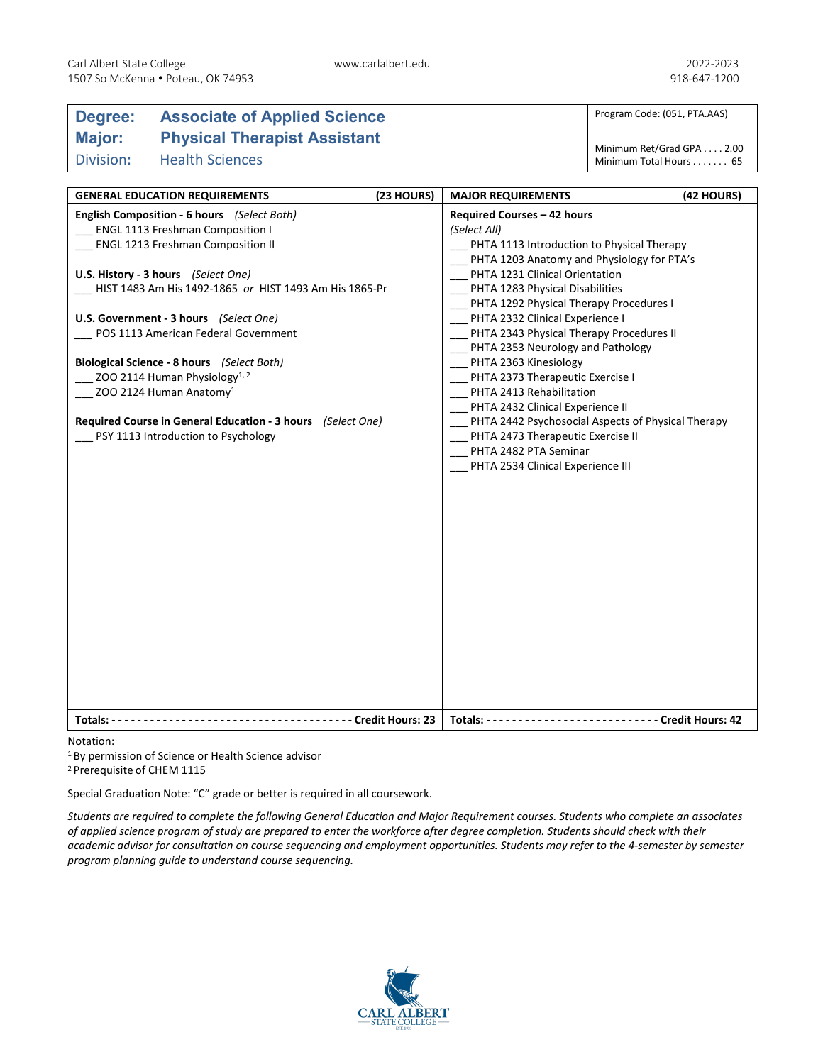## **Degree: Associate of Applied Science Major: Physical Therapist Assistant** Division: Health Sciences

Program Code: (051, PTA.AAS)

Minimum Ret/Grad GPA . . . . 2.00 Minimum Total Hours . . . . . . . 65

| <b>GENERAL EDUCATION REQUIREMENTS</b>                       | (23 HOURS) | <b>MAJOR REQUIREMENTS</b>                          | (42 HOURS) |
|-------------------------------------------------------------|------------|----------------------------------------------------|------------|
| English Composition - 6 hours (Select Both)                 |            | Required Courses - 42 hours                        |            |
| ENGL 1113 Freshman Composition I                            |            | (Select All)                                       |            |
| <b>ENGL 1213 Freshman Composition II</b>                    |            | PHTA 1113 Introduction to Physical Therapy         |            |
|                                                             |            | PHTA 1203 Anatomy and Physiology for PTA's         |            |
| U.S. History - 3 hours (Select One)                         |            | PHTA 1231 Clinical Orientation                     |            |
| HIST 1483 Am His 1492-1865 or HIST 1493 Am His 1865-Pr      |            | PHTA 1283 Physical Disabilities                    |            |
|                                                             |            | PHTA 1292 Physical Therapy Procedures I            |            |
| U.S. Government - 3 hours (Select One)                      |            | PHTA 2332 Clinical Experience I                    |            |
| POS 1113 American Federal Government                        |            | PHTA 2343 Physical Therapy Procedures II           |            |
|                                                             |            | PHTA 2353 Neurology and Pathology                  |            |
| Biological Science - 8 hours (Select Both)                  |            | PHTA 2363 Kinesiology                              |            |
| ZOO 2114 Human Physiology <sup>1, 2</sup>                   |            | PHTA 2373 Therapeutic Exercise I                   |            |
| ZOO 2124 Human Anatomy <sup>1</sup>                         |            | PHTA 2413 Rehabilitation                           |            |
|                                                             |            | PHTA 2432 Clinical Experience II                   |            |
| Required Course in General Education - 3 hours (Select One) |            | PHTA 2442 Psychosocial Aspects of Physical Therapy |            |
| PSY 1113 Introduction to Psychology                         |            | PHTA 2473 Therapeutic Exercise II                  |            |
|                                                             |            | PHTA 2482 PTA Seminar                              |            |
|                                                             |            | PHTA 2534 Clinical Experience III                  |            |
|                                                             |            |                                                    |            |
|                                                             |            |                                                    |            |
|                                                             |            |                                                    |            |
|                                                             |            |                                                    |            |
|                                                             |            |                                                    |            |
|                                                             |            |                                                    |            |
|                                                             |            |                                                    |            |
|                                                             |            |                                                    |            |
|                                                             |            |                                                    |            |
|                                                             |            |                                                    |            |
|                                                             |            |                                                    |            |
|                                                             |            |                                                    |            |
|                                                             |            |                                                    |            |
|                                                             |            |                                                    |            |
|                                                             |            |                                                    |            |
|                                                             |            |                                                    |            |
|                                                             |            |                                                    |            |
|                                                             |            |                                                    |            |

Notation:

1 By permission of Science or Health Science advisor

2 Prerequisite of CHEM 1115

Special Graduation Note: "C" grade or better is required in all coursework.

*Students are required to complete the following General Education and Major Requirement courses. Students who complete an associates of applied science program of study are prepared to enter the workforce after degree completion. Students should check with their academic advisor for consultation on course sequencing and employment opportunities. Students may refer to the 4-semester by semester program planning guide to understand course sequencing.*